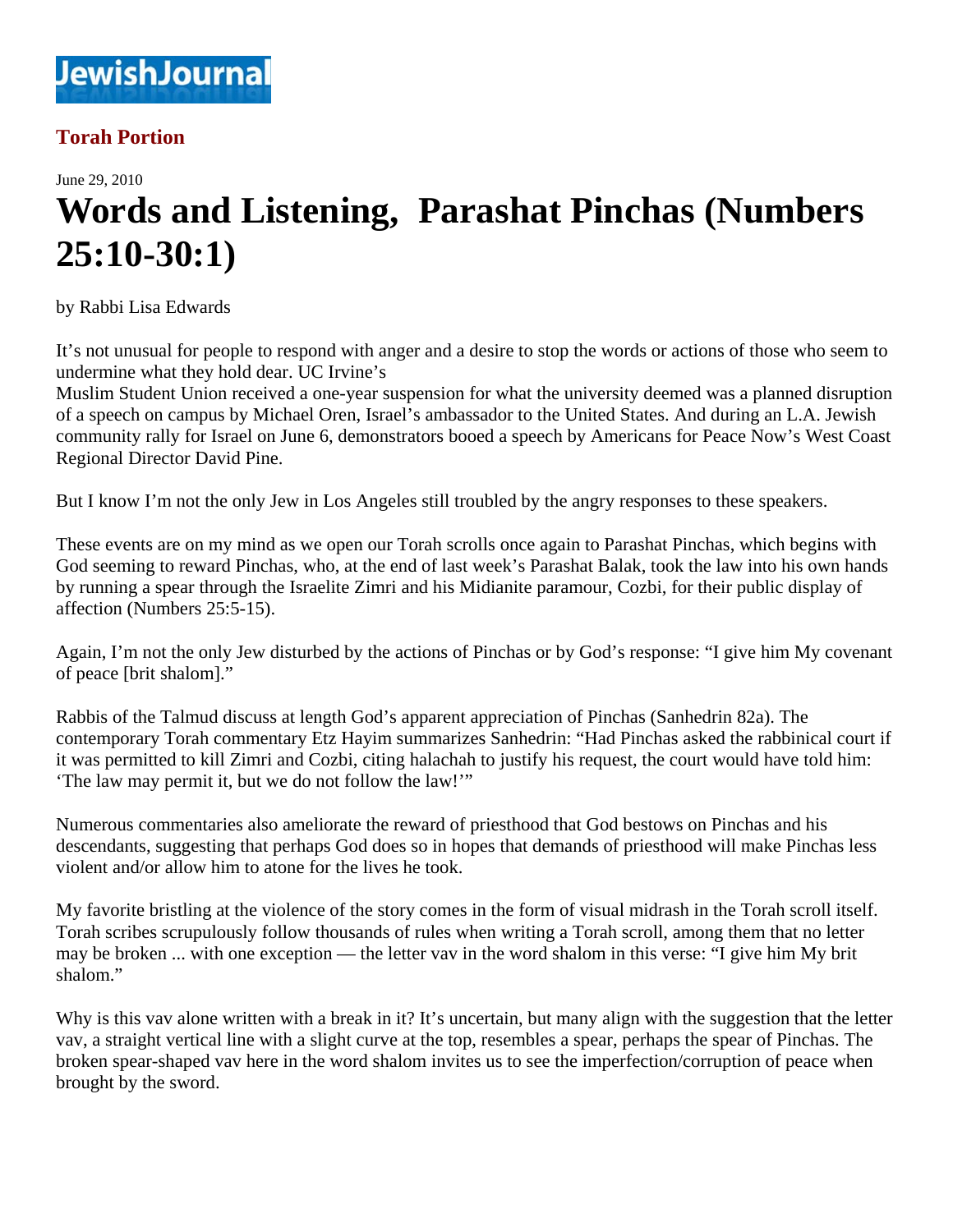

## **Torah Portion**

June 29, 2010

## **Words and Listening, Parashat Pinchas (Numbers 25:10-30:1)**

by Rabbi Lisa Edwards

It's not unusual for people to respond with anger and a desire to stop the words or actions of those who seem to undermine what they hold dear. UC Irvine's

Muslim Student Union received a one-year suspension for what the university deemed was a planned disruption of a speech on campus by Michael Oren, Israel's ambassador to the United States. And during an L.A. Jewish community rally for Israel on June 6, demonstrators booed a speech by Americans for Peace Now's West Coast Regional Director David Pine.

But I know I'm not the only Jew in Los Angeles still troubled by the angry responses to these speakers.

These events are on my mind as we open our Torah scrolls once again to Parashat Pinchas, which begins with God seeming to reward Pinchas, who, at the end of last week's Parashat Balak, took the law into his own hands by running a spear through the Israelite Zimri and his Midianite paramour, Cozbi, for their public display of affection (Numbers 25:5-15).

Again, I'm not the only Jew disturbed by the actions of Pinchas or by God's response: "I give him My covenant of peace [brit shalom]."

Rabbis of the Talmud discuss at length God's apparent appreciation of Pinchas (Sanhedrin 82a). The contemporary Torah commentary Etz Hayim summarizes Sanhedrin: "Had Pinchas asked the rabbinical court if it was permitted to kill Zimri and Cozbi, citing halachah to justify his request, the court would have told him: 'The law may permit it, but we do not follow the law!'"

Numerous commentaries also ameliorate the reward of priesthood that God bestows on Pinchas and his descendants, suggesting that perhaps God does so in hopes that demands of priesthood will make Pinchas less violent and/or allow him to atone for the lives he took.

My favorite bristling at the violence of the story comes in the form of visual midrash in the Torah scroll itself. Torah scribes scrupulously follow thousands of rules when writing a Torah scroll, among them that no letter may be broken ... with one exception — the letter vav in the word shalom in this verse: "I give him My brit shalom."

Why is this vav alone written with a break in it? It's uncertain, but many align with the suggestion that the letter vav, a straight vertical line with a slight curve at the top, resembles a spear, perhaps the spear of Pinchas. The broken spear-shaped vav here in the word shalom invites us to see the imperfection/corruption of peace when brought by the sword.